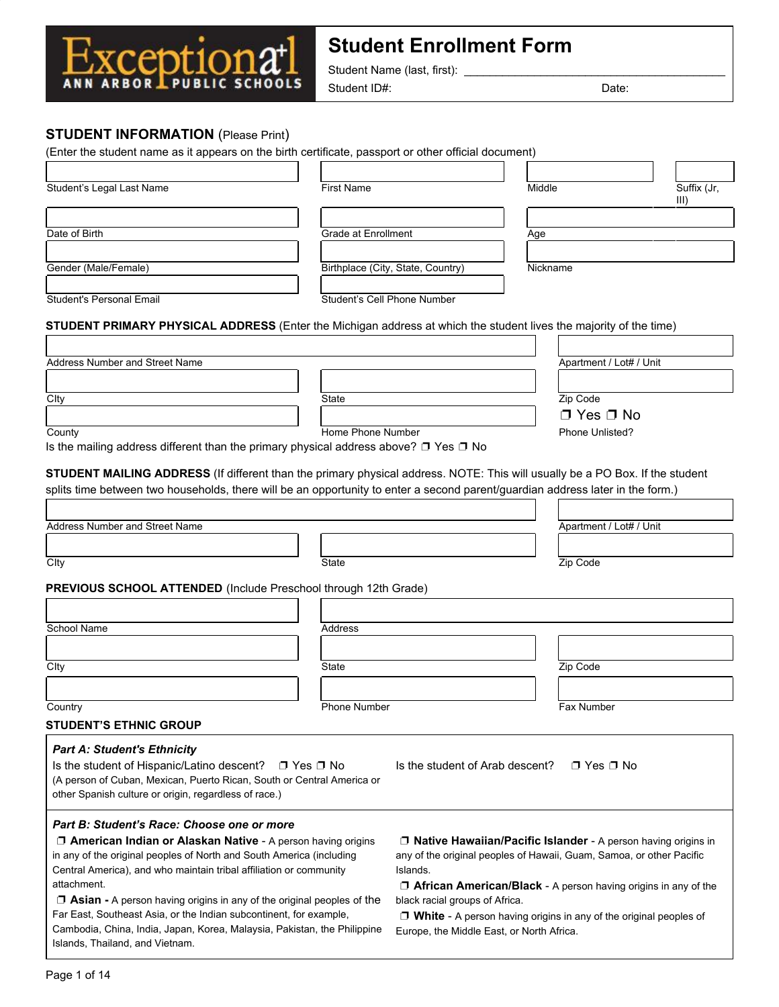

Student Name (last, first): \_

Student ID#: Date:

## **STUDENT INFORMATION** (Please Print)

:ent1 ANN ARBOR PUBLIC SCHOOLS

٠

|                                                                                                                                                                                                                                                                                                                                                                                                                                                                                                                                                                                           |                             |                                   | (Enter the student name as it appears on the birth certificate, passport or other official document)                                           |                     |
|-------------------------------------------------------------------------------------------------------------------------------------------------------------------------------------------------------------------------------------------------------------------------------------------------------------------------------------------------------------------------------------------------------------------------------------------------------------------------------------------------------------------------------------------------------------------------------------------|-----------------------------|-----------------------------------|------------------------------------------------------------------------------------------------------------------------------------------------|---------------------|
| Student's Legal Last Name                                                                                                                                                                                                                                                                                                                                                                                                                                                                                                                                                                 | <b>First Name</b>           |                                   | Middle                                                                                                                                         | Suffix (Jr,<br>III) |
|                                                                                                                                                                                                                                                                                                                                                                                                                                                                                                                                                                                           |                             |                                   |                                                                                                                                                |                     |
| Date of Birth                                                                                                                                                                                                                                                                                                                                                                                                                                                                                                                                                                             | Grade at Enrollment         |                                   | Age                                                                                                                                            |                     |
|                                                                                                                                                                                                                                                                                                                                                                                                                                                                                                                                                                                           |                             |                                   |                                                                                                                                                |                     |
| Gender (Male/Female)                                                                                                                                                                                                                                                                                                                                                                                                                                                                                                                                                                      |                             | Birthplace (City, State, Country) | Nickname                                                                                                                                       |                     |
|                                                                                                                                                                                                                                                                                                                                                                                                                                                                                                                                                                                           |                             |                                   |                                                                                                                                                |                     |
| Student's Personal Email                                                                                                                                                                                                                                                                                                                                                                                                                                                                                                                                                                  | Student's Cell Phone Number |                                   |                                                                                                                                                |                     |
| <b>STUDENT PRIMARY PHYSICAL ADDRESS</b> (Enter the Michigan address at which the student lives the majority of the time)                                                                                                                                                                                                                                                                                                                                                                                                                                                                  |                             |                                   |                                                                                                                                                |                     |
| Address Number and Street Name                                                                                                                                                                                                                                                                                                                                                                                                                                                                                                                                                            |                             |                                   | Apartment / Lot# / Unit                                                                                                                        |                     |
|                                                                                                                                                                                                                                                                                                                                                                                                                                                                                                                                                                                           |                             |                                   |                                                                                                                                                |                     |
| Clty                                                                                                                                                                                                                                                                                                                                                                                                                                                                                                                                                                                      | <b>State</b>                |                                   | Zip Code                                                                                                                                       |                     |
|                                                                                                                                                                                                                                                                                                                                                                                                                                                                                                                                                                                           |                             |                                   | $\Box$ Yes $\Box$ No                                                                                                                           |                     |
| County                                                                                                                                                                                                                                                                                                                                                                                                                                                                                                                                                                                    | Home Phone Number           |                                   | Phone Unlisted?                                                                                                                                |                     |
| Is the mailing address different than the primary physical address above? □ Yes □ No                                                                                                                                                                                                                                                                                                                                                                                                                                                                                                      |                             |                                   |                                                                                                                                                |                     |
| STUDENT MAILING ADDRESS (If different than the primary physical address. NOTE: This will usually be a PO Box. If the student<br>splits time between two households, there will be an opportunity to enter a second parent/guardian address later in the form.)                                                                                                                                                                                                                                                                                                                            |                             |                                   |                                                                                                                                                |                     |
|                                                                                                                                                                                                                                                                                                                                                                                                                                                                                                                                                                                           |                             |                                   |                                                                                                                                                |                     |
| Address Number and Street Name                                                                                                                                                                                                                                                                                                                                                                                                                                                                                                                                                            |                             |                                   | Apartment / Lot# / Unit                                                                                                                        |                     |
|                                                                                                                                                                                                                                                                                                                                                                                                                                                                                                                                                                                           |                             |                                   |                                                                                                                                                |                     |
| Clty                                                                                                                                                                                                                                                                                                                                                                                                                                                                                                                                                                                      | <b>State</b>                |                                   | Zip Code                                                                                                                                       |                     |
|                                                                                                                                                                                                                                                                                                                                                                                                                                                                                                                                                                                           |                             |                                   |                                                                                                                                                |                     |
|                                                                                                                                                                                                                                                                                                                                                                                                                                                                                                                                                                                           |                             |                                   |                                                                                                                                                |                     |
|                                                                                                                                                                                                                                                                                                                                                                                                                                                                                                                                                                                           |                             |                                   |                                                                                                                                                |                     |
|                                                                                                                                                                                                                                                                                                                                                                                                                                                                                                                                                                                           |                             |                                   |                                                                                                                                                |                     |
|                                                                                                                                                                                                                                                                                                                                                                                                                                                                                                                                                                                           | Address                     |                                   |                                                                                                                                                |                     |
|                                                                                                                                                                                                                                                                                                                                                                                                                                                                                                                                                                                           |                             |                                   |                                                                                                                                                |                     |
|                                                                                                                                                                                                                                                                                                                                                                                                                                                                                                                                                                                           | State                       |                                   | Zip Code                                                                                                                                       |                     |
|                                                                                                                                                                                                                                                                                                                                                                                                                                                                                                                                                                                           |                             |                                   |                                                                                                                                                |                     |
|                                                                                                                                                                                                                                                                                                                                                                                                                                                                                                                                                                                           | <b>Phone Number</b>         |                                   | Fax Number                                                                                                                                     |                     |
|                                                                                                                                                                                                                                                                                                                                                                                                                                                                                                                                                                                           |                             |                                   |                                                                                                                                                |                     |
|                                                                                                                                                                                                                                                                                                                                                                                                                                                                                                                                                                                           |                             |                                   |                                                                                                                                                |                     |
|                                                                                                                                                                                                                                                                                                                                                                                                                                                                                                                                                                                           |                             | Is the student of Arab descent?   | $\Box$ Yes $\Box$ No                                                                                                                           |                     |
|                                                                                                                                                                                                                                                                                                                                                                                                                                                                                                                                                                                           |                             |                                   |                                                                                                                                                |                     |
|                                                                                                                                                                                                                                                                                                                                                                                                                                                                                                                                                                                           |                             |                                   |                                                                                                                                                |                     |
|                                                                                                                                                                                                                                                                                                                                                                                                                                                                                                                                                                                           |                             |                                   |                                                                                                                                                |                     |
|                                                                                                                                                                                                                                                                                                                                                                                                                                                                                                                                                                                           |                             |                                   |                                                                                                                                                |                     |
| <b>J American Indian or Alaskan Native</b> - A person having origins                                                                                                                                                                                                                                                                                                                                                                                                                                                                                                                      |                             |                                   | <b>J Native Hawaiian/Pacific Islander</b> - A person having origins in<br>any of the original peoples of Hawaii, Guam, Samoa, or other Pacific |                     |
|                                                                                                                                                                                                                                                                                                                                                                                                                                                                                                                                                                                           |                             | Islands.                          |                                                                                                                                                |                     |
| PREVIOUS SCHOOL ATTENDED (Include Preschool through 12th Grade)<br>School Name<br>Clty<br>Country<br><b>STUDENT'S ETHNIC GROUP</b><br><b>Part A: Student's Ethnicity</b><br>Is the student of Hispanic/Latino descent? $\Box$ Yes $\Box$ No<br>(A person of Cuban, Mexican, Puerto Rican, South or Central America or<br>other Spanish culture or origin, regardless of race.)<br>Part B: Student's Race: Choose one or more<br>in any of the original peoples of North and South America (including<br>Central America), and who maintain tribal affiliation or community<br>attachment. |                             |                                   | $\Box$ African American/Black - A person having origins in any of the                                                                          |                     |
| $\Box$ Asian - A person having origins in any of the original peoples of the<br>Far East, Southeast Asia, or the Indian subcontinent, for example,                                                                                                                                                                                                                                                                                                                                                                                                                                        |                             | black racial groups of Africa.    | $\Box$ White - A person having origins in any of the original peoples of                                                                       |                     |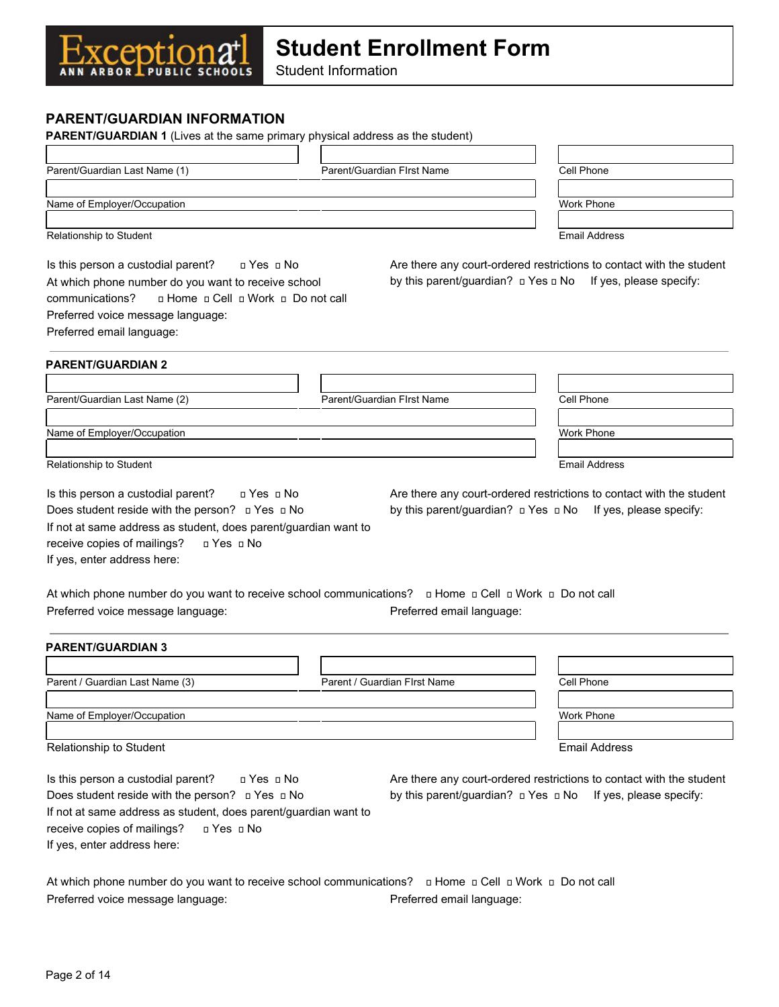Student Information

## **PARENT/GUARDIAN INFORMATION**

Exceptiona<sup>+</sup>

| PARENT/GUARDIAN 1 (Lives at the same primary physical address as the student)                                                                                                                                                                                |                                               |                                                                                                                                               |
|--------------------------------------------------------------------------------------------------------------------------------------------------------------------------------------------------------------------------------------------------------------|-----------------------------------------------|-----------------------------------------------------------------------------------------------------------------------------------------------|
|                                                                                                                                                                                                                                                              |                                               |                                                                                                                                               |
| Parent/Guardian Last Name (1)                                                                                                                                                                                                                                | Parent/Guardian FIrst Name                    | Cell Phone                                                                                                                                    |
| Name of Employer/Occupation                                                                                                                                                                                                                                  |                                               | Work Phone                                                                                                                                    |
|                                                                                                                                                                                                                                                              |                                               |                                                                                                                                               |
| Relationship to Student                                                                                                                                                                                                                                      |                                               | <b>Email Address</b>                                                                                                                          |
| Is this person a custodial parent?<br>□ Yes □ No<br>At which phone number do you want to receive school<br>n Home n Cell n Work n Do not call<br>communications?<br>Preferred voice message language:<br>Preferred email language:                           |                                               | Are there any court-ordered restrictions to contact with the student<br>by this parent/guardian? $\Box$ Yes $\Box$ No If yes, please specify: |
| <b>PARENT/GUARDIAN 2</b>                                                                                                                                                                                                                                     |                                               |                                                                                                                                               |
|                                                                                                                                                                                                                                                              |                                               |                                                                                                                                               |
| Parent/Guardian Last Name (2)                                                                                                                                                                                                                                | Parent/Guardian FIrst Name                    | Cell Phone                                                                                                                                    |
| Name of Employer/Occupation                                                                                                                                                                                                                                  |                                               | Work Phone                                                                                                                                    |
|                                                                                                                                                                                                                                                              |                                               |                                                                                                                                               |
| Relationship to Student                                                                                                                                                                                                                                      |                                               | <b>Email Address</b>                                                                                                                          |
| Does student reside with the person? <b>□ Yes □ No</b><br>If not at same address as student, does parent/guardian want to<br>receive copies of mailings?<br>□ Yes □ No<br>If yes, enter address here:                                                        |                                               | by this parent/guardian? $\Box$ Yes $\Box$ No If yes, please specify:                                                                         |
| Preferred voice message language:                                                                                                                                                                                                                            | Preferred email language:                     |                                                                                                                                               |
| <b>PARENT/GUARDIAN 3</b>                                                                                                                                                                                                                                     |                                               |                                                                                                                                               |
|                                                                                                                                                                                                                                                              |                                               |                                                                                                                                               |
| Parent / Guardian Last Name (3)                                                                                                                                                                                                                              | Parent / Guardian First Name                  | Cell Phone                                                                                                                                    |
| Name of Employer/Occupation                                                                                                                                                                                                                                  |                                               | Work Phone                                                                                                                                    |
|                                                                                                                                                                                                                                                              |                                               |                                                                                                                                               |
| Relationship to Student                                                                                                                                                                                                                                      |                                               | <b>Email Address</b>                                                                                                                          |
| Is this person a custodial parent?<br>□ Yes □ No<br>Does student reside with the person? $\Box$ Yes $\Box$ No<br>If not at same address as student, does parent/guardian want to<br>receive copies of mailings?<br>□ Yes □ No<br>If yes, enter address here: | by this parent/guardian? $\Box$ Yes $\Box$ No | Are there any court-ordered restrictions to contact with the student<br>If yes, please specify:                                               |

At which phone number do you want to receive school communications? **I** Home **p** Cell **p** Work **p** Do not call Preferred voice message language: Preferred email language: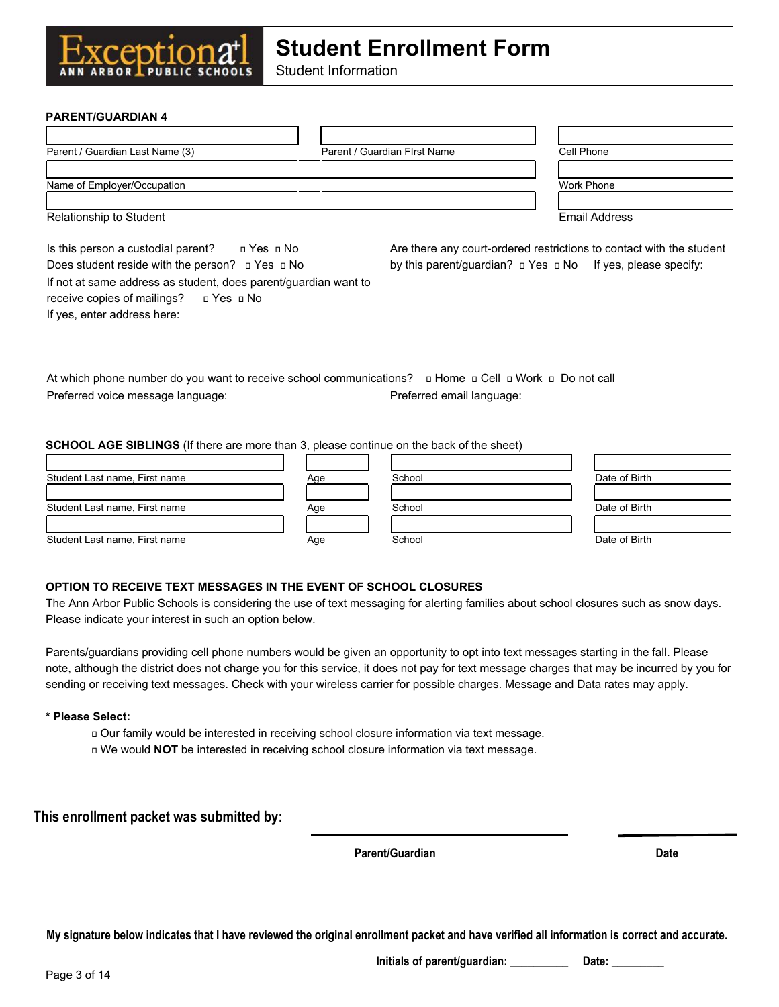Student Information

#### **PARENT/GUARDIAN 4**

**ANN ARBOR** 

GDT

If yes, enter address here:

| Parent / Guardian Last Name (3)                                                                              | Parent / Guardian First Name | Cell Phone                                                            |
|--------------------------------------------------------------------------------------------------------------|------------------------------|-----------------------------------------------------------------------|
|                                                                                                              |                              |                                                                       |
| Name of Employer/Occupation                                                                                  |                              | Work Phone                                                            |
|                                                                                                              |                              |                                                                       |
| Relationship to Student                                                                                      |                              | Email Address                                                         |
| Is this person a custodial parent?<br>⊓ Yes   ⊓   No                                                         |                              | Are there any court-ordered restrictions to contact with the student  |
| Does student reside with the person? $\Box$ Yes $\Box$ No                                                    |                              | by this parent/guardian? $\Box$ Yes $\Box$ No If yes, please specify: |
| If not at same address as student, does parent/guardian want to<br>receive copies of mailings?<br>□ Yes □ No |                              |                                                                       |

At which phone number do you want to receive school communications? 
u Home u Cell u Work u Do not call Preferred voice message language: Preferred email language:

#### **SCHOOL AGE SIBLINGS** (If there are more than 3, please continue on the back of the sheet)

| Student Last name, First name | Aqe | School | Date of Birth |
|-------------------------------|-----|--------|---------------|
|                               |     |        |               |
| Student Last name, First name | Age | School | Date of Birth |
| Student Last name, First name | Age | School | Date of Birth |

#### **OPTION TO RECEIVE TEXT MESSAGES IN THE EVENT OF SCHOOL CLOSURES**

The Ann Arbor Public Schools is considering the use of text messaging for alerting families about school closures such as snow days. Please indicate your interest in such an option below.

Parents/guardians providing cell phone numbers would be given an opportunity to opt into text messages starting in the fall. Please note, although the district does not charge you for this service, it does not pay for text message charges that may be incurred by you for sending or receiving text messages. Check with your wireless carrier for possible charges. Message and Data rates may apply.

#### **\* Please Select:**

- Our family would be interested in receiving school closure information via text message.
- We would **NOT** be interested in receiving school closure information via text message.

**This enrollment packet was submitted by:**

**Parent/Guardian** Date

**My signature below indicates that I have reviewed the original enrollment packet and have verified all information is correct and accurate.**

**Initials of parent/guardian: \_\_\_\_\_\_\_\_\_\_ Date: \_\_\_\_\_\_\_\_\_**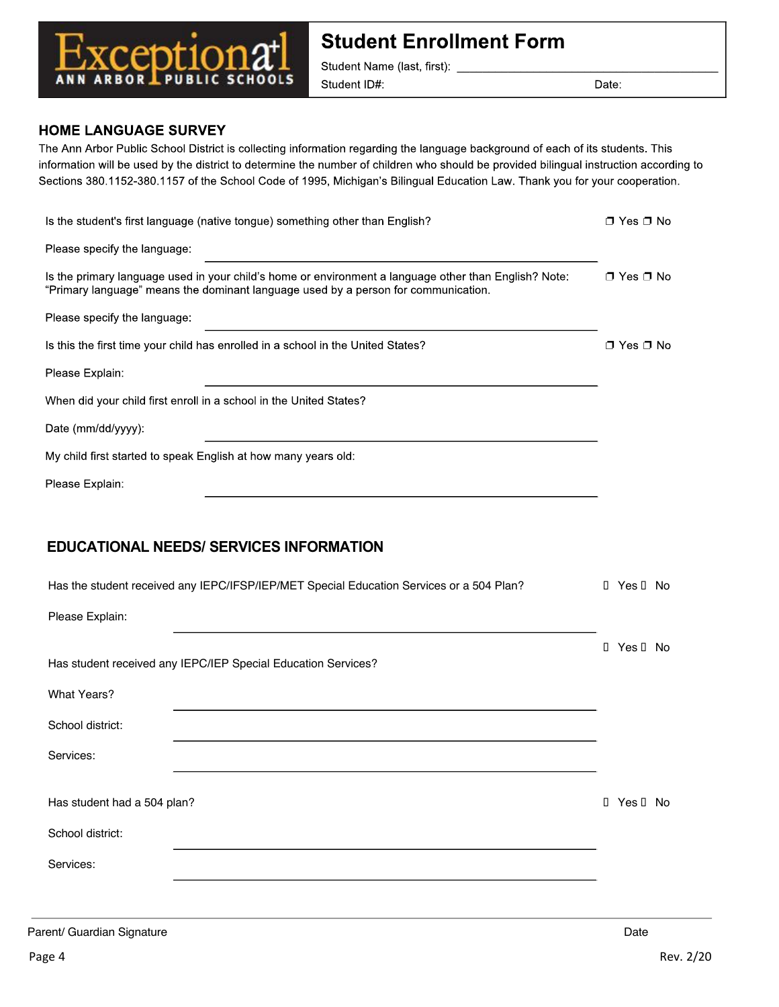

**Student Name (last, first):**<br>Student **ID#**:

Date:

### **HOME LANGUAGE SURVEY**

The Ann Arbor Public School District is collecting information regarding the language background of each of its students. This<br>information will be used by the district to determine the number of children who should be prov mormator will be used by the district to determine the number of children who should be provided billingual instruction<br>Sections 290–1152–290–1157 of the Sebeel Code of 1005–Michigan's Bilingual Education Law, Thenk you fo

| Is the student's first language (native tongue) something other than English?                                                                                                               | $\Box$ Yes $\Box$ No |
|---------------------------------------------------------------------------------------------------------------------------------------------------------------------------------------------|----------------------|
| Please specify the language:                                                                                                                                                                |                      |
| Is the primary language used in your child's home or environment a language other than English? Note:<br>"Primary language" means the dominant language used by a person for communication. | $\Box$ Yes $\Box$ No |
| Please specify the language:                                                                                                                                                                |                      |
| Is this the first time your child has enrolled in a school in the United States?                                                                                                            | □ Yes □ No           |
| Please Explain:                                                                                                                                                                             |                      |
| When did your child first enroll in a school in the United States?                                                                                                                          |                      |
| Date (mm/dd/yyyy):                                                                                                                                                                          |                      |
| My child first started to speak English at how many years old:                                                                                                                              |                      |
| Please Explain:                                                                                                                                                                             |                      |
|                                                                                                                                                                                             |                      |
| <b>EDUCATIONAL NEEDS/ SERVICES INFORMATION</b>                                                                                                                                              |                      |
| Has the student received any IEPC/IFSP/IEP/MET Special Education Services or a 504 Plan?                                                                                                    | I Yes I No           |
| Please Explain:                                                                                                                                                                             |                      |
|                                                                                                                                                                                             | I Yes I No           |
| Has student received any IEPC/IEP Special Education Services?                                                                                                                               |                      |
| <b>What Years?</b>                                                                                                                                                                          |                      |
| School district:                                                                                                                                                                            |                      |
| Services:                                                                                                                                                                                   |                      |
|                                                                                                                                                                                             |                      |
| Has student had a 504 plan?                                                                                                                                                                 |                      |
|                                                                                                                                                                                             | I Yes I No           |
| School district:                                                                                                                                                                            |                      |
| Services:                                                                                                                                                                                   |                      |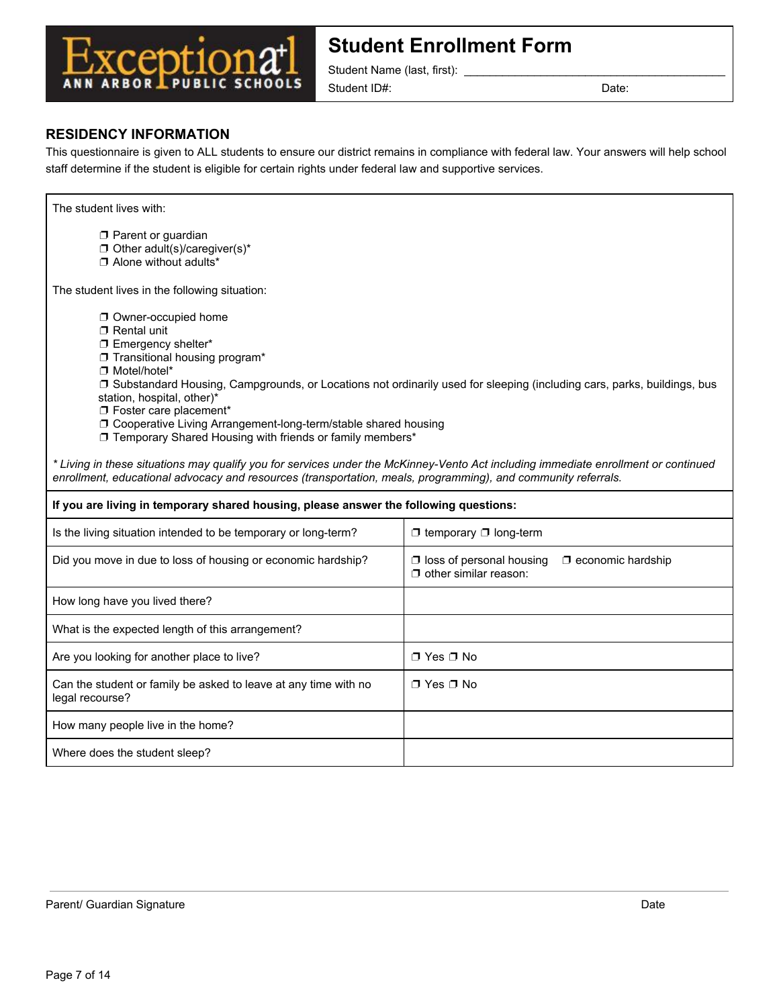

Student Name (last, first):

Student ID#: Date: Date: Date:

### **RESIDENCY INFORMATION**

This questionnaire is given to ALL students to ensure our district remains in compliance with federal law. Your answers will help school staff determine if the student is eligible for certain rights under federal law and supportive services.

| The student lives with:                                                                                                                                                                                                                                                                                                 |                                                                                                                          |  |  |
|-------------------------------------------------------------------------------------------------------------------------------------------------------------------------------------------------------------------------------------------------------------------------------------------------------------------------|--------------------------------------------------------------------------------------------------------------------------|--|--|
| $\Box$ Parent or guardian<br>$\Box$ Other adult(s)/caregiver(s)*<br>$\Box$ Alone without adults*                                                                                                                                                                                                                        |                                                                                                                          |  |  |
| The student lives in the following situation:                                                                                                                                                                                                                                                                           |                                                                                                                          |  |  |
| Owner-occupied home<br>$\Box$ Rental unit<br>□ Emergency shelter*<br>Transitional housing program*<br>□ Motel/hotel*<br>station, hospital, other)*<br>T Foster care placement*<br>O Cooperative Living Arrangement-long-term/stable shared housing<br><b>J</b> Temporary Shared Housing with friends or family members* | □ Substandard Housing, Campgrounds, or Locations not ordinarily used for sleeping (including cars, parks, buildings, bus |  |  |
| * Living in these situations may qualify you for services under the McKinney-Vento Act including immediate enrollment or continued<br>enrollment, educational advocacy and resources (transportation, meals, programming), and community referrals.                                                                     |                                                                                                                          |  |  |
| If you are living in temporary shared housing, please answer the following questions:                                                                                                                                                                                                                                   |                                                                                                                          |  |  |
| Is the living situation intended to be temporary or long-term?                                                                                                                                                                                                                                                          | $\Box$ temporary $\Box$ long-term                                                                                        |  |  |
| Did you move in due to loss of housing or economic hardship?                                                                                                                                                                                                                                                            | $\Box$ loss of personal housing<br>$\Box$ economic hardship<br>$\Box$ other similar reason:                              |  |  |
| How long have you lived there?                                                                                                                                                                                                                                                                                          |                                                                                                                          |  |  |
| What is the expected length of this arrangement?                                                                                                                                                                                                                                                                        |                                                                                                                          |  |  |
| Are you looking for another place to live?                                                                                                                                                                                                                                                                              | □ Yes □ No                                                                                                               |  |  |
| Can the student or family be asked to leave at any time with no<br>legal recourse?                                                                                                                                                                                                                                      | ∩ Yes ∩ No                                                                                                               |  |  |
| How many people live in the home?                                                                                                                                                                                                                                                                                       |                                                                                                                          |  |  |
| Where does the student sleep?                                                                                                                                                                                                                                                                                           |                                                                                                                          |  |  |